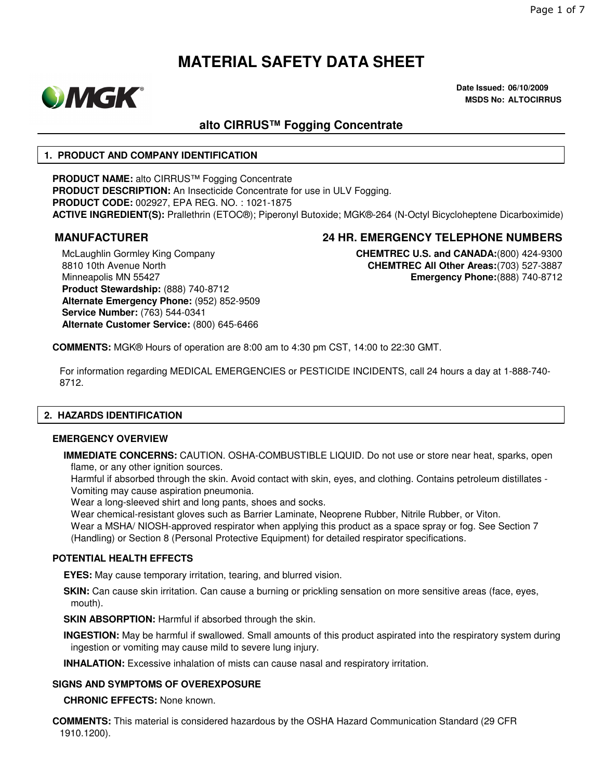

**Date Issued: 06/10/2009 MSDS No: ALTOCIRRUS**

## **alto CIRRUS™ Fogging Concentrate**

#### **1. PRODUCT AND COMPANY IDENTIFICATION**

**PRODUCT NAME:** alto CIRRUS™ Fogging Concentrate **PRODUCT DESCRIPTION:** An Insecticide Concentrate for use in ULV Fogging. **PRODUCT CODE:** 002927, EPA REG. NO. : 1021-1875 **ACTIVE INGREDIENT(S):** Prallethrin (ETOC®); Piperonyl Butoxide; MGK®-264 (N-Octyl Bicycloheptene Dicarboximide)

**MANUFACTURER 24 HR. EMERGENCY TELEPHONE NUMBERS**

McLaughlin Gormley King Company 8810 10th Avenue North Minneapolis MN 55427 **Product Stewardship:** (888) 740-8712 **Alternate Emergency Phone:** (952) 852-9509 **Service Number:** (763) 544-0341 **Alternate Customer Service:** (800) 645-6466

**CHEMTREC U.S. and CANADA:**(800) 424-9300 **CHEMTREC All Other Areas:**(703) 527-3887 **Emergency Phone:**(888) 740-8712

**COMMENTS:** MGK® Hours of operation are 8:00 am to 4:30 pm CST, 14:00 to 22:30 GMT.

For information regarding MEDICAL EMERGENCIES or PESTICIDE INCIDENTS, call 24 hours a day at 1-888-740- 8712.

### **2. HAZARDS IDENTIFICATION**

#### **EMERGENCY OVERVIEW**

**IMMEDIATE CONCERNS:** CAUTION. OSHA-COMBUSTIBLE LIQUID. Do not use or store near heat, sparks, open flame, or any other ignition sources.

Harmful if absorbed through the skin. Avoid contact with skin, eyes, and clothing. Contains petroleum distillates - Vomiting may cause aspiration pneumonia.

Wear a long-sleeved shirt and long pants, shoes and socks.

Wear chemical-resistant gloves such as Barrier Laminate, Neoprene Rubber, Nitrile Rubber, or Viton.

Wear a MSHA/ NIOSH-approved respirator when applying this product as a space spray or fog. See Section 7 (Handling) or Section 8 (Personal Protective Equipment) for detailed respirator specifications.

#### **POTENTIAL HEALTH EFFECTS**

**EYES:** May cause temporary irritation, tearing, and blurred vision.

**SKIN:** Can cause skin irritation. Can cause a burning or prickling sensation on more sensitive areas (face, eyes, mouth).

**SKIN ABSORPTION: Harmful if absorbed through the skin.** 

**INGESTION:** May be harmful if swallowed. Small amounts of this product aspirated into the respiratory system during ingestion or vomiting may cause mild to severe lung injury.

**INHALATION:** Excessive inhalation of mists can cause nasal and respiratory irritation.

#### **SIGNS AND SYMPTOMS OF OVEREXPOSURE**

**CHRONIC EFFECTS:** None known.

**COMMENTS:** This material is considered hazardous by the OSHA Hazard Communication Standard (29 CFR 1910.1200).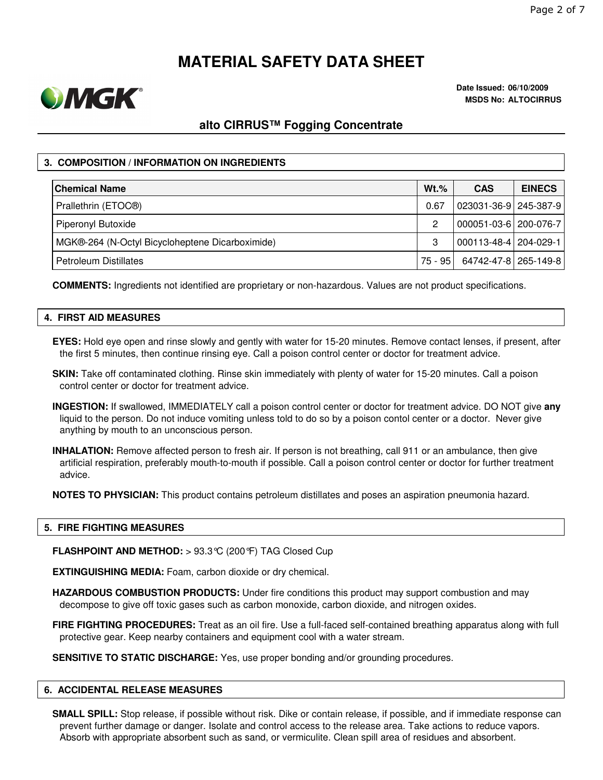

**Date Issued: 06/10/2009 MSDS No: ALTOCIRRUS**

# **alto CIRRUS™ Fogging Concentrate**

### **3. COMPOSITION / INFORMATION ON INGREDIENTS**

| <b>Chemical Name</b>                            | $Wt.\%$ | <b>CAS</b>            | <b>EINECS</b> |
|-------------------------------------------------|---------|-----------------------|---------------|
| Prallethrin (ETOC <sup>®)</sup>                 | 0.67    | 023031-36-9 245-387-9 |               |
| Piperonyl Butoxide                              | 2       | 000051-03-6 200-076-7 |               |
| MGK®-264 (N-Octyl Bicycloheptene Dicarboximide) | 3       | 000113-48-4 204-029-1 |               |
| l Petroleum Distillates                         | 75 - 95 | 64742-47-8 265-149-8  |               |

**COMMENTS:** Ingredients not identified are proprietary or non-hazardous. Values are not product specifications.

#### **4. FIRST AID MEASURES**

- **EYES:** Hold eye open and rinse slowly and gently with water for 15-20 minutes. Remove contact lenses, if present, after the first 5 minutes, then continue rinsing eye. Call a poison control center or doctor for treatment advice.
- **SKIN:** Take off contaminated clothing. Rinse skin immediately with plenty of water for 15-20 minutes. Call a poison control center or doctor for treatment advice.
- **INGESTION:** If swallowed, IMMEDIATELY call a poison control center or doctor for treatment advice. DO NOT give **any** liquid to the person. Do not induce vomiting unless told to do so by a poison contol center or a doctor. Never give anything by mouth to an unconscious person.
- **INHALATION:** Remove affected person to fresh air. If person is not breathing, call 911 or an ambulance, then give artificial respiration, preferably mouth-to-mouth if possible. Call a poison control center or doctor for further treatment advice.

**NOTES TO PHYSICIAN:** This product contains petroleum distillates and poses an aspiration pneumonia hazard.

#### **5. FIRE FIGHTING MEASURES**

**FLASHPOINT AND METHOD:** > 93.3°C (200°F) TAG Closed Cup

**EXTINGUISHING MEDIA:** Foam, carbon dioxide or dry chemical.

- **HAZARDOUS COMBUSTION PRODUCTS:** Under fire conditions this product may support combustion and may decompose to give off toxic gases such as carbon monoxide, carbon dioxide, and nitrogen oxides.
- **FIRE FIGHTING PROCEDURES:** Treat as an oil fire. Use a full-faced self-contained breathing apparatus along with full protective gear. Keep nearby containers and equipment cool with a water stream.

**SENSITIVE TO STATIC DISCHARGE:** Yes, use proper bonding and/or grounding procedures.

#### **6. ACCIDENTAL RELEASE MEASURES**

**SMALL SPILL:** Stop release, if possible without risk. Dike or contain release, if possible, and if immediate response can prevent further damage or danger. Isolate and control access to the release area. Take actions to reduce vapors. Absorb with appropriate absorbent such as sand, or vermiculite. Clean spill area of residues and absorbent.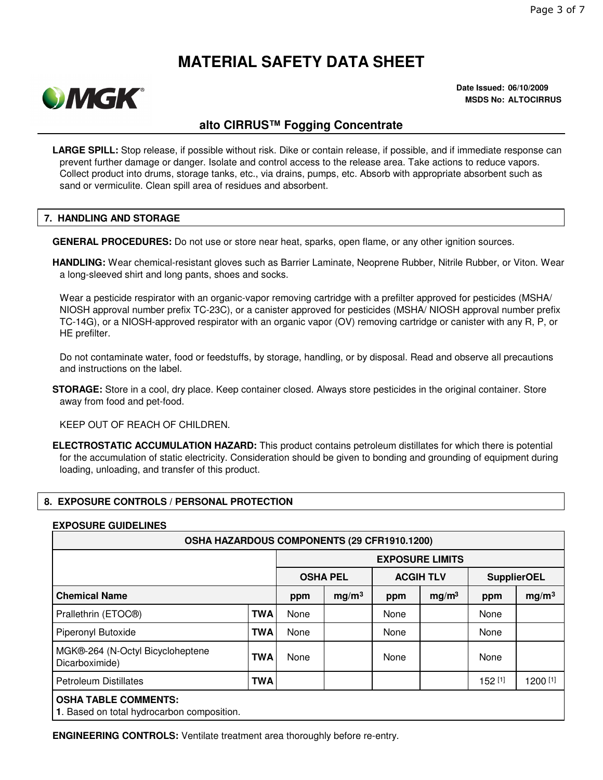

**Date Issued: 06/10/2009 MSDS No: ALTOCIRRUS**

### **alto CIRRUS™ Fogging Concentrate**

**LARGE SPILL:** Stop release, if possible without risk. Dike or contain release, if possible, and if immediate response can prevent further damage or danger. Isolate and control access to the release area. Take actions to reduce vapors. Collect product into drums, storage tanks, etc., via drains, pumps, etc. Absorb with appropriate absorbent such as sand or vermiculite. Clean spill area of residues and absorbent.

#### **7. HANDLING AND STORAGE**

**GENERAL PROCEDURES:** Do not use or store near heat, sparks, open flame, or any other ignition sources.

**HANDLING:** Wear chemical-resistant gloves such as Barrier Laminate, Neoprene Rubber, Nitrile Rubber, or Viton. Wear a long-sleeved shirt and long pants, shoes and socks.

Wear a pesticide respirator with an organic-vapor removing cartridge with a prefilter approved for pesticides (MSHA/ NIOSH approval number prefix TC-23C), or a canister approved for pesticides (MSHA/ NIOSH approval number prefix TC-14G), or a NIOSH-approved respirator with an organic vapor (OV) removing cartridge or canister with any R, P, or HE prefilter.

Do not contaminate water, food or feedstuffs, by storage, handling, or by disposal. Read and observe all precautions and instructions on the label.

**STORAGE:** Store in a cool, dry place. Keep container closed. Always store pesticides in the original container. Store away from food and pet-food.

KEEP OUT OF REACH OF CHILDREN.

**ELECTROSTATIC ACCUMULATION HAZARD:** This product contains petroleum distillates for which there is potential for the accumulation of static electricity. Consideration should be given to bonding and grounding of equipment during loading, unloading, and transfer of this product.

### **8. EXPOSURE CONTROLS / PERSONAL PROTECTION**

#### **EXPOSURE GUIDELINES**

| <b>OSHA HAZARDOUS COMPONENTS (29 CFR1910.1200)</b>                        |            |                        |                   |                  |                   |                    |                   |  |
|---------------------------------------------------------------------------|------------|------------------------|-------------------|------------------|-------------------|--------------------|-------------------|--|
|                                                                           |            | <b>EXPOSURE LIMITS</b> |                   |                  |                   |                    |                   |  |
|                                                                           |            | <b>OSHA PEL</b>        |                   | <b>ACGIH TLV</b> |                   | <b>SupplierOEL</b> |                   |  |
| <b>Chemical Name</b>                                                      |            | ppm                    | mg/m <sup>3</sup> | ppm              | mg/m <sup>3</sup> | ppm                | mg/m <sup>3</sup> |  |
| Prallethrin (ETOC <sup>®)</sup>                                           | <b>TWA</b> | None                   |                   | None             |                   | None               |                   |  |
| Piperonyl Butoxide                                                        | <b>TWA</b> | None                   |                   | None             |                   | None               |                   |  |
| MGK®-264 (N-Octyl Bicycloheptene<br>Dicarboximide)                        | <b>TWA</b> | None                   |                   | None             |                   | None               |                   |  |
| <b>Petroleum Distillates</b>                                              | TWA        |                        |                   |                  |                   | $152^{[1]}$        | 1200 [1]          |  |
| <b>OSHA TABLE COMMENTS:</b><br>1. Based on total hydrocarbon composition. |            |                        |                   |                  |                   |                    |                   |  |

**ENGINEERING CONTROLS:** Ventilate treatment area thoroughly before re-entry.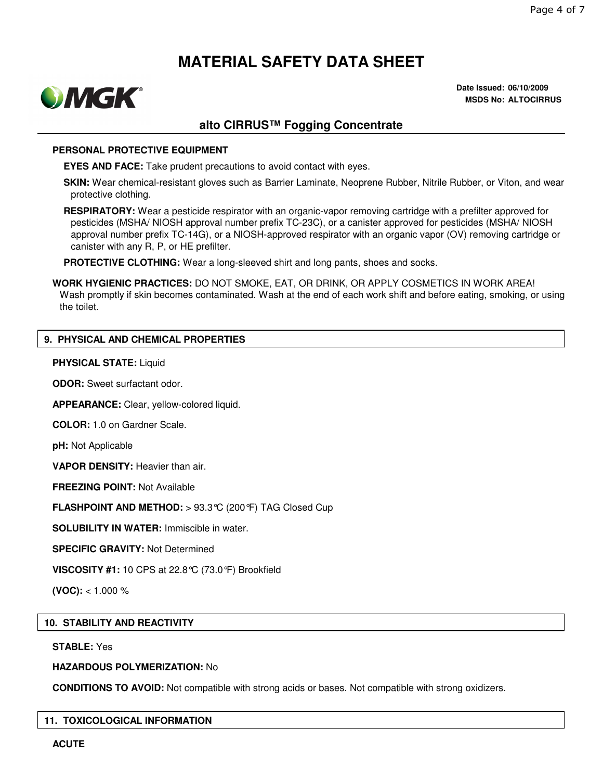

**Date Issued: 06/10/2009 MSDS No: ALTOCIRRUS**

### **alto CIRRUS™ Fogging Concentrate**

#### **PERSONAL PROTECTIVE EQUIPMENT**

**EYES AND FACE:** Take prudent precautions to avoid contact with eyes.

**SKIN:** Wear chemical-resistant gloves such as Barrier Laminate, Neoprene Rubber, Nitrile Rubber, or Viton, and wear protective clothing.

**RESPIRATORY:** Wear a pesticide respirator with an organic-vapor removing cartridge with a prefilter approved for pesticides (MSHA/ NIOSH approval number prefix TC-23C), or a canister approved for pesticides (MSHA/ NIOSH approval number prefix TC-14G), or a NIOSH-approved respirator with an organic vapor (OV) removing cartridge or canister with any R, P, or HE prefilter.

**PROTECTIVE CLOTHING:** Wear a long-sleeved shirt and long pants, shoes and socks.

**WORK HYGIENIC PRACTICES:** DO NOT SMOKE, EAT, OR DRINK, OR APPLY COSMETICS IN WORK AREA! Wash promptly if skin becomes contaminated. Wash at the end of each work shift and before eating, smoking, or using the toilet.

### **9. PHYSICAL AND CHEMICAL PROPERTIES**

#### **PHYSICAL STATE:** Liquid

**ODOR:** Sweet surfactant odor.

**APPEARANCE:** Clear, yellow-colored liquid.

**COLOR:** 1.0 on Gardner Scale.

**pH:** Not Applicable

**VAPOR DENSITY:** Heavier than air.

**FREEZING POINT:** Not Available

**FLASHPOINT AND METHOD:** > 93.3°C (200°F) TAG Closed Cup

**SOLUBILITY IN WATER:** Immiscible in water.

**SPECIFIC GRAVITY:** Not Determined

**VISCOSITY #1:** 10 CPS at 22.8°C (73.0°F) Brookfield

**(VOC):** < 1.000 %

#### **10. STABILITY AND REACTIVITY**

#### **STABLE:** Yes

#### **HAZARDOUS POLYMERIZATION:** No

**CONDITIONS TO AVOID:** Not compatible with strong acids or bases. Not compatible with strong oxidizers.

#### **11. TOXICOLOGICAL INFORMATION**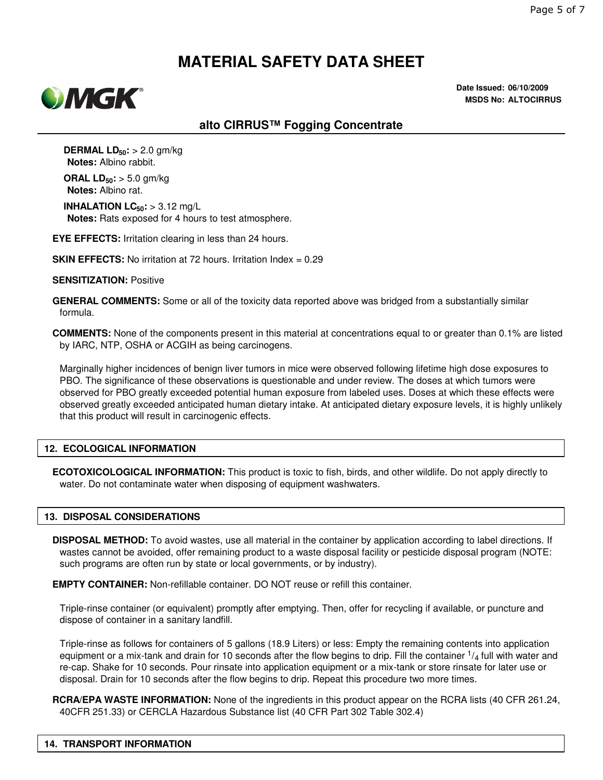

**Date Issued: 06/10/2009 MSDS No: ALTOCIRRUS**

### **alto CIRRUS™ Fogging Concentrate**

**DERMAL LD50:** > 2.0 gm/kg **Notes:** Albino rabbit.

**ORAL LD50:** > 5.0 gm/kg **Notes:** Albino rat.

**INHALATION LC50:** > 3.12 mg/L **Notes:** Rats exposed for 4 hours to test atmosphere.

**EYE EFFECTS:** Irritation clearing in less than 24 hours.

**SKIN EFFECTS:** No irritation at 72 hours. Irritation Index = 0.29

#### **SENSITIZATION:** Positive

**GENERAL COMMENTS:** Some or all of the toxicity data reported above was bridged from a substantially similar formula.

**COMMENTS:** None of the components present in this material at concentrations equal to or greater than 0.1% are listed by IARC, NTP, OSHA or ACGIH as being carcinogens.

Marginally higher incidences of benign liver tumors in mice were observed following lifetime high dose exposures to PBO. The significance of these observations is questionable and under review. The doses at which tumors were observed for PBO greatly exceeded potential human exposure from labeled uses. Doses at which these effects were observed greatly exceeded anticipated human dietary intake. At anticipated dietary exposure levels, it is highly unlikely that this product will result in carcinogenic effects.

#### **12. ECOLOGICAL INFORMATION**

**ECOTOXICOLOGICAL INFORMATION:** This product is toxic to fish, birds, and other wildlife. Do not apply directly to water. Do not contaminate water when disposing of equipment washwaters.

### **13. DISPOSAL CONSIDERATIONS**

**DISPOSAL METHOD:** To avoid wastes, use all material in the container by application according to label directions. If wastes cannot be avoided, offer remaining product to a waste disposal facility or pesticide disposal program (NOTE: such programs are often run by state or local governments, or by industry).

**EMPTY CONTAINER:** Non-refillable container. DO NOT reuse or refill this container.

Triple-rinse container (or equivalent) promptly after emptying. Then, offer for recycling if available, or puncture and dispose of container in a sanitary landfill.

Triple-rinse as follows for containers of 5 gallons (18.9 Liters) or less: Empty the remaining contents into application equipment or a mix-tank and drain for 10 seconds after the flow begins to drip. Fill the container  $1/4$  full with water and re-cap. Shake for 10 seconds. Pour rinsate into application equipment or a mix-tank or store rinsate for later use or disposal. Drain for 10 seconds after the flow begins to drip. Repeat this procedure two more times.

**RCRA/EPA WASTE INFORMATION:** None of the ingredients in this product appear on the RCRA lists (40 CFR 261.24, 40CFR 251.33) or CERCLA Hazardous Substance list (40 CFR Part 302 Table 302.4)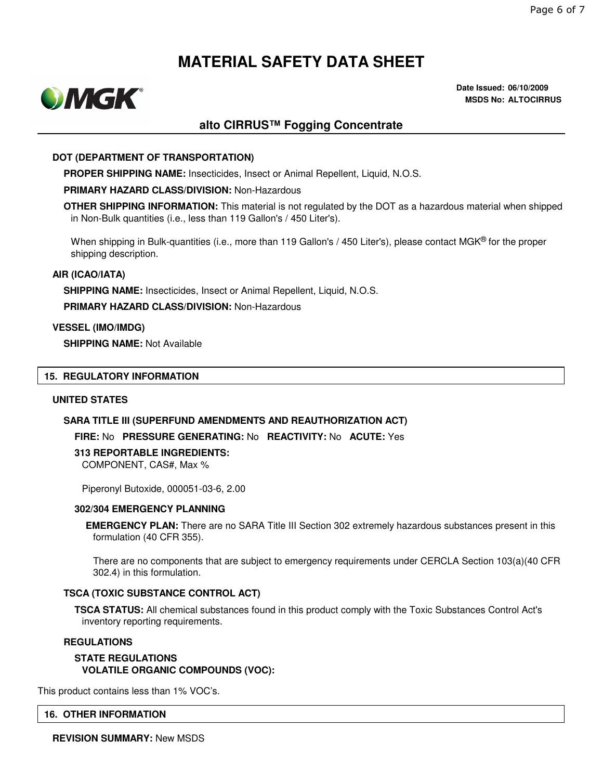

**Date Issued: 06/10/2009 MSDS No: ALTOCIRRUS**

### **alto CIRRUS™ Fogging Concentrate**

#### **DOT (DEPARTMENT OF TRANSPORTATION)**

**PROPER SHIPPING NAME:** Insecticides, Insect or Animal Repellent, Liquid, N.O.S.

#### **PRIMARY HAZARD CLASS/DIVISION:** Non-Hazardous

**OTHER SHIPPING INFORMATION:** This material is not regulated by the DOT as a hazardous material when shipped in Non-Bulk quantities (i.e., less than 119 Gallon's / 450 Liter's).

When shipping in Bulk-quantities (i.e., more than 119 Gallon's / 450 Liter's), please contact MGK<sup>®</sup> for the proper shipping description.

#### **AIR (ICAO/IATA)**

**SHIPPING NAME:** Insecticides, Insect or Animal Repellent, Liquid, N.O.S.

**PRIMARY HAZARD CLASS/DIVISION:** Non-Hazardous

#### **VESSEL (IMO/IMDG)**

**SHIPPING NAME:** Not Available

#### **15. REGULATORY INFORMATION**

#### **UNITED STATES**

#### **SARA TITLE III (SUPERFUND AMENDMENTS AND REAUTHORIZATION ACT)**

#### **FIRE:** No **PRESSURE GENERATING:** No **REACTIVITY:** No **ACUTE:** Yes

#### **313 REPORTABLE INGREDIENTS:**

COMPONENT, CAS#, Max %

Piperonyl Butoxide, 000051-03-6, 2.00

#### **302/304 EMERGENCY PLANNING**

**EMERGENCY PLAN:** There are no SARA Title III Section 302 extremely hazardous substances present in this formulation (40 CFR 355).

There are no components that are subject to emergency requirements under CERCLA Section 103(a)(40 CFR 302.4) in this formulation.

#### **TSCA (TOXIC SUBSTANCE CONTROL ACT)**

**TSCA STATUS:** All chemical substances found in this product comply with the Toxic Substances Control Act's inventory reporting requirements.

#### **REGULATIONS**

**STATE REGULATIONS VOLATILE ORGANIC COMPOUNDS (VOC):**

This product contains less than 1% VOC's.

#### **16. OTHER INFORMATION**